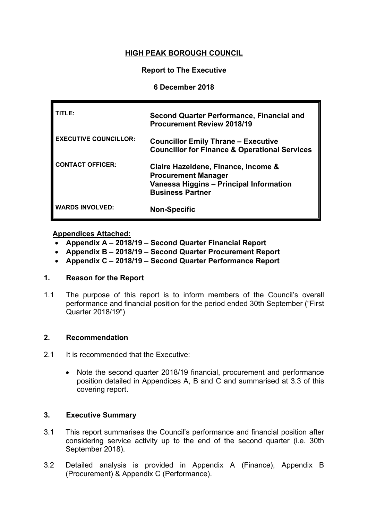# **HIGH PEAK BOROUGH COUNCIL**

## **Report to The Executive**

### **6 December 2018**

| 'ITLE:                       | <b>Second Quarter Performance, Financial and</b><br><b>Procurement Review 2018/19</b>                                                   |
|------------------------------|-----------------------------------------------------------------------------------------------------------------------------------------|
| <b>EXECUTIVE COUNCILLOR:</b> | <b>Councillor Emily Thrane - Executive</b><br><b>Councillor for Finance &amp; Operational Services</b>                                  |
| <b>CONTACT OFFICER:</b>      | Claire Hazeldene, Finance, Income &<br><b>Procurement Manager</b><br>Vanessa Higgins - Principal Information<br><b>Business Partner</b> |
| <b>WARDS INVOLVED:</b>       | <b>Non-Specific</b>                                                                                                                     |

## **Appendices Attached:**

- **[Appendix](SMDC%2520-%2520Q4%2520(Prov%2520Out)%252011-12%2520App%2520A%2520(11-07-12).doc) A – 2018/19 – Second Quarter Financial Report**
- **[Appendix](SMDC%2520-%2520Q4%2520(Prov%2520Out)%252011-12%2520App%2520B%2520(11-07-12).doc) B – 2018/19 – Second Quarter Procurement Report**
- **[Appendix](SMDC%2520-%2520Q4%2520(Prov%2520Out)%252011-12%2520App%2520C%2520(11-07-12).doc) C – 2018/19 – Second Quarter Performance Report**

# **1. Reason for the Report**

1.1 The purpose of this report is to inform members of the Council's overall performance and financial position for the period ended 30th September ("First Quarter 2018/19")

#### **2. Recommendation**

- 2.1 It is recommended that the Executive:
	- Note the second quarter 2018/19 financial, procurement and performance position detailed in Appendices A, B and C and summarised at 3.3 of this covering report.

#### **3. Executive Summary**

- 3.1 This report summarises the Council's performance and financial position after considering service activity up to the end of the second quarter (i.e. 30th September 2018).
- 3.2 Detailed analysis is provided in Appendix A (Finance), Appendix B (Procurement) & Appendix C (Performance).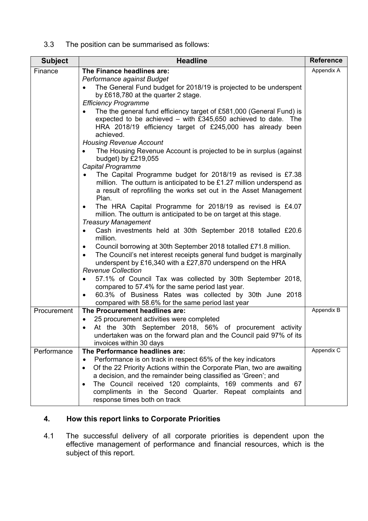## 3.3 The position can be summarised as follows:

| <b>Subject</b> | <b>Headline</b>                                                                                                                                                                                                                                                                                                                                                                                                                                                                                                                                                                                                                                                                                                                                                                                                                                                                                                                                                                                                                                                                                                                                                                                                                                                                                                                                                                                                                                                                                                                     | <b>Reference</b> |
|----------------|-------------------------------------------------------------------------------------------------------------------------------------------------------------------------------------------------------------------------------------------------------------------------------------------------------------------------------------------------------------------------------------------------------------------------------------------------------------------------------------------------------------------------------------------------------------------------------------------------------------------------------------------------------------------------------------------------------------------------------------------------------------------------------------------------------------------------------------------------------------------------------------------------------------------------------------------------------------------------------------------------------------------------------------------------------------------------------------------------------------------------------------------------------------------------------------------------------------------------------------------------------------------------------------------------------------------------------------------------------------------------------------------------------------------------------------------------------------------------------------------------------------------------------------|------------------|
| Finance        | The Finance headlines are:<br>Performance against Budget<br>The General Fund budget for 2018/19 is projected to be underspent<br>by £618,780 at the quarter 2 stage.<br><b>Efficiency Programme</b><br>The the general fund efficiency target of £581,000 (General Fund) is<br>expected to be achieved - with £345,650 achieved to date. The<br>HRA 2018/19 efficiency target of £245,000 has already been<br>achieved.<br><b>Housing Revenue Account</b><br>The Housing Revenue Account is projected to be in surplus (against<br>budget) by £219,055<br><b>Capital Programme</b><br>The Capital Programme budget for 2018/19 as revised is £7.38<br>million. The outturn is anticipated to be £1.27 million underspend as<br>a result of reprofiling the works set out in the Asset Management<br>Plan.<br>The HRA Capital Programme for 2018/19 as revised is £4.07<br>$\bullet$<br>million. The outturn is anticipated to be on target at this stage.<br><b>Treasury Management</b><br>Cash investments held at 30th September 2018 totalled £20.6<br>$\bullet$<br>million.<br>Council borrowing at 30th September 2018 totalled £71.8 million.<br>٠<br>The Council's net interest receipts general fund budget is marginally<br>$\bullet$<br>underspent by £16,340 with a £27,870 underspend on the HRA<br><b>Revenue Collection</b><br>57.1% of Council Tax was collected by 30th September 2018,<br>$\bullet$<br>compared to 57.4% for the same period last year.<br>60.3% of Business Rates was collected by 30th June 2018 | Appendix A       |
| Procurement    | compared with 58.6% for the same period last year<br>The Procurement headlines are:<br>25 procurement activities were completed<br>$\bullet$<br>At the 30th September 2018, 56% of procurement activity<br>undertaken was on the forward plan and the Council paid 97% of its<br>invoices within 30 days                                                                                                                                                                                                                                                                                                                                                                                                                                                                                                                                                                                                                                                                                                                                                                                                                                                                                                                                                                                                                                                                                                                                                                                                                            | Appendix B       |
| Performance    | The Performance headlines are:<br>Performance is on track in respect 65% of the key indicators<br>$\bullet$<br>Of the 22 Priority Actions within the Corporate Plan, two are awaiting<br>$\bullet$<br>a decision, and the remainder being classified as 'Green'; and<br>The Council received 120 complaints, 169 comments and 67<br>$\bullet$<br>compliments in the Second Quarter. Repeat complaints and<br>response times both on track                                                                                                                                                                                                                                                                                                                                                                                                                                                                                                                                                                                                                                                                                                                                                                                                                                                                                                                                                                                                                                                                                           | Appendix C       |

# **4. How this report links to Corporate Priorities**

4.1 The successful delivery of all corporate priorities is dependent upon the effective management of performance and financial resources, which is the subject of this report.